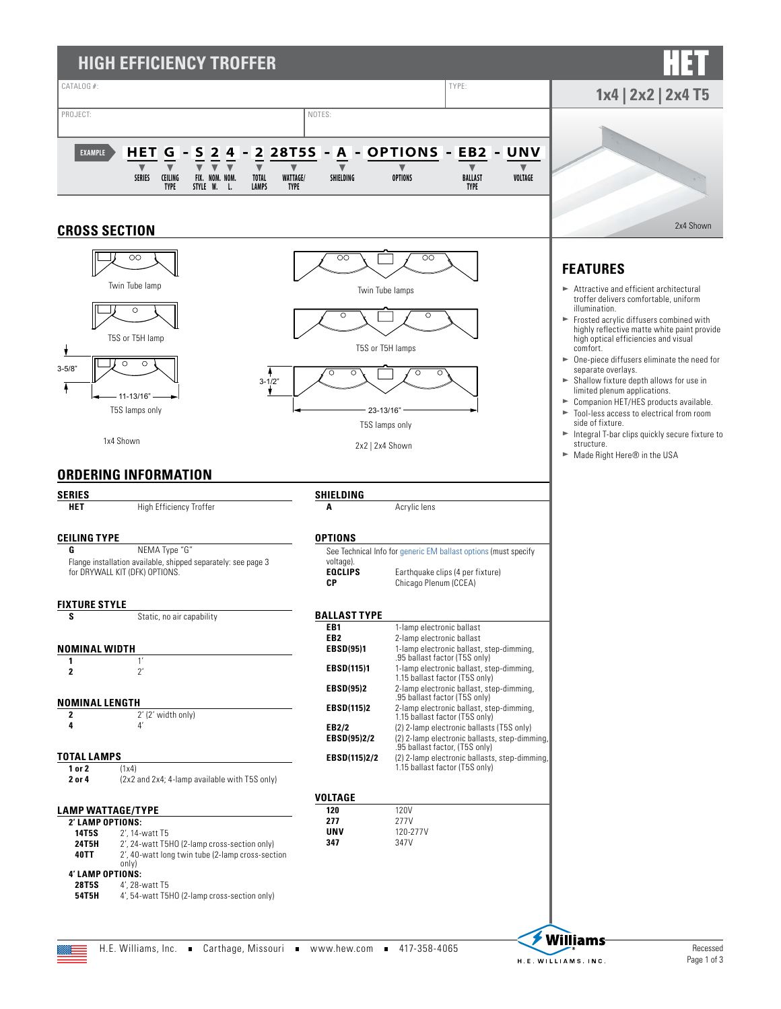

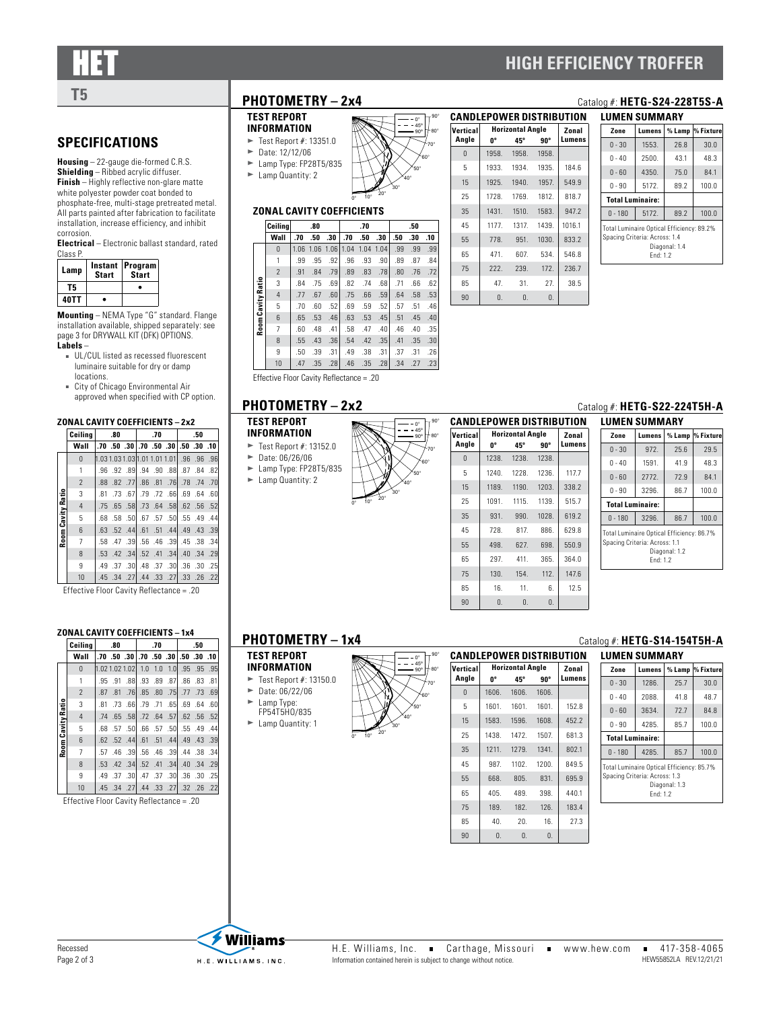**SPECIFICATIONS Housing** – 22-gauge die-formed C.R.S. **Shielding** – Ribbed acrylic diffuser. **Finish** – Highly reflective non-glare matte white polyester powder coat bonded to phosphate-free, multi-stage pretreated metal. All parts painted after fabrication to facilitate installation, increase efficiency, and inhibit

**Lamp Instant Program Start**

**T5 • 40TT •**

**Electrical** – Electronic ballast standard, rated

**Start**

**Mounting** – NEMA Type "G" standard. Flange installation available, shipped separately: [see](#page-2-0)  [page 3 for DRYWALL KIT \(DFK\) OPTIONS.](#page-2-0)

■ UL/CUL listed as recessed fluorescent luminaire suitable for dry or damp

■ City of Chicago Environmental Air approved when specified with CP option.

**ZONAL CAVITY COEFFICIENTS – 2x2 Ceiling .80 .70 .50 Wall .70 .50 .30 .70 .50 .30 .50 .30 .10**

 1.03 1.03 1.03 1.01 1.01 1.01 .96 .96 .96 1 .96 .92 .89 .94 .90 .88 .87 .84 .82 .88 .82 .77 .86 .81 .76 .78 .74 .70 .81 .73 .67 .79 .72 .66 .69 .64 .60 .75 .65 .58 .73 .64 .58 .62 .56 .52 .68 .58 .50 .67 .57 .50 .55 .49 .44 .63 .52 .44 .61 .51 .44 .49 .43 .39 .58 .47 .39 .56 .46 .39 .45 .38 .34 .53 .42 .34 .52 .41 .34 .40 .34 .29 .49 .37 .30 .48 .37 .30 .36 .30 .25 .45 .34 .27 .44 .33 .27 .33 .26 .22 Effective Floor Cavity Reflectance = .20

corrosion.

Class P.

**Labels** –

**Room Cavity Ratio**

n<br>Eatio om Cavity locations.

## **HIGH EFFICIENCY TROFFER**

## **TEST REPORT**

- $\blacktriangleright$  Date: 12/12/06
- $\blacktriangleright$  Lamp Type: FP28T5/835



### **ZONAL CAVITY COEFFICIENTS**

|                   | Ceilina        |      | .80  |      |      | .70  |      |     | .50 |     |
|-------------------|----------------|------|------|------|------|------|------|-----|-----|-----|
|                   | Wall           | .70  | .50  | .30  | .70  | .50  | .30  | .50 | .30 | .10 |
|                   | 0              | 1.06 | 1.06 | 1.06 | 1.04 | 1.04 | 1.04 | .99 | .99 | .99 |
|                   | 1              | .99  | .95  | .92  | .96  | .93  | .90  | .89 | .87 | .84 |
|                   | $\overline{2}$ | .91  | .84  | .79  | .89  | .83  | .78  | .80 | .76 | .72 |
|                   | 3              | .84  | .75  | .69  | .82  | .74  | .68  | .71 | .66 | .62 |
| Room Cavity Ratio | $\overline{4}$ | .77  | .67  | .60  | .75  | .66  | .59  | .64 | .58 | .53 |
|                   | 5              | .70  | .60  | .52  | .69  | .59  | .52  | .57 | .51 | .46 |
|                   | 6              | .65  | .53  | .46  | .63  | .53  | .45  | .51 | .45 | .40 |
|                   | 7              | .60  | .48  | .41  | .58  | .47  | .40  | .46 | .40 | .35 |
|                   | 8              | .55  | .43  | .36  | .54  | .42  | .35  | .41 | .35 | .30 |
|                   | 9              | .50  | .39  | .31  | .49  | .38  | .31  | .37 | .31 | .26 |
|                   | 10             | .47  | .35  | .28  | .46  | .35  | .28  | .34 | .27 | .23 |

Effective Floor Cavity Reflectance = .20

### **TEST REPORT**

- **INFORM**  $\blacktriangleright$  Test
- $\blacktriangleright$  Date:
- $\blacktriangleright$  Lamp Type: FP28T5/835
- ► Lamp Quantity: 2

|                                 |                                 |       |                         |       | υa     |
|---------------------------------|---------------------------------|-------|-------------------------|-------|--------|
| $90^\circ$<br>$\cdot$ 0°        | <b>CANDLEPOWER DISTRIBUTION</b> |       |                         |       |        |
| 45°<br>$80^\circ$<br>$90^\circ$ | Vertical                        |       | <b>Horizontal Angle</b> |       | Zonal  |
| $70^{\circ}$                    | Angle                           | U0    | 45°                     | 90°   | Lumens |
| 60°                             | $\Omega$                        | 1238. | 1238.                   | 1238. |        |
| $50^\circ$                      | 5                               | 1240. | 1228.                   | 1236. | 117.7  |
| $40^{\circ}$                    | 15                              | 1189. | 1190.                   | 1203. | 338.2  |
|                                 | 25                              | 1091. | 1115.                   | 1139. | 515.7  |
|                                 | 35                              | 931.  | 990.                    | 1028. | 619.2  |
|                                 | 45                              | 728.  | 817                     | 886.  | 629.8  |
|                                 | 55                              | 498.  | 627.                    | 698.  | 550.9  |
|                                 | 65                              | 297   | 411.                    | 365.  | 364.0  |
|                                 | 75                              | 130.  | 154.                    | 112.  | 147.6  |

#### **PHOTOMETRY – 2x2** Catalog #: **HETG-S22-224T5H-A**

| LUMEN SUMMARY                                                                                           |                        |          |           |  |  |  |
|---------------------------------------------------------------------------------------------------------|------------------------|----------|-----------|--|--|--|
| Zone                                                                                                    | Lumens                 | $%$ Lamp | % Fixture |  |  |  |
| $0 - 30$                                                                                                | 972                    | 75.6     | 29.5      |  |  |  |
| $0 - 40$                                                                                                | 1591.                  | 41.9     | 48.3      |  |  |  |
| $0 - 60$                                                                                                | 2772.                  |          | 84.1      |  |  |  |
| $0 - 90$                                                                                                | 3296.                  | 86.7     | 100.0     |  |  |  |
| <b>Total Luminaire:</b>                                                                                 |                        |          |           |  |  |  |
| $0 - 180$                                                                                               | 3296.<br>100.0<br>86.7 |          |           |  |  |  |
| Total Luminaire Optical Efficiency: 86.7%<br>Spacing Criteria: Across: 1.1<br>Diagonal: 1.2<br>Fnd: 1.2 |                        |          |           |  |  |  |

#### **ZONAL CAVITY COEFFICIENTS – 1x4**

|              | Ceilina        |     | .80 |  | .70 |                                              | .50 |  |
|--------------|----------------|-----|-----|--|-----|----------------------------------------------|-----|--|
|              | Wall           |     |     |  |     | .70, 30, 30, 30, 30, 30, 30, 50, 70, 70,     |     |  |
|              | $\Omega$       |     |     |  |     | 1.02 1.02 1.02 1.0 1.0 1.0 95 .95 .95        |     |  |
|              | 1              |     |     |  |     | .81 83 84 85 87 88 89 87 89 89               |     |  |
|              | $\overline{2}$ |     |     |  |     | .87 .81 .76 .85 .80 .75 .77 .73 .69          |     |  |
|              | 3              |     |     |  |     | .60 .64 .60 .65 .65 .71 .65 .69 .64 .60      |     |  |
| Cavity Ratio | $\overline{4}$ |     |     |  |     | .52 .56 .58 .57 .64 .57 .64 .57 .58 .58      |     |  |
|              | 5              | .68 |     |  |     | 44. 49. 55. 50. 57. 66. 66. 57. 59.          |     |  |
|              | 6              |     |     |  |     | .62 .52 .44 .61 .51 .44 .49 .43 .39          |     |  |
| Room (       | $\overline{7}$ |     |     |  |     | .34, 38, 44, 39, 34, 46, 36, 39, 44, 57, 57, |     |  |
|              | $\mathbf{8}$   |     |     |  |     | .53 .42 .34 .52 .41 .34 .40 .34 .53          |     |  |
|              | 9              |     |     |  |     | .49 .37 .30 .47 .37 .30 .36 .30 .37          |     |  |
|              | 10             |     |     |  |     | .45 .34 .27 .33 .27 .32 .28 .45 .45          |     |  |

Effective Floor Cavity Reflectance = .20

- **TEST REPORT INFORMATION**
- $\blacktriangleright$  Test Report #: 13150.0
- $\blacktriangleright$  Date: 06/22/06
- $\blacktriangleright$  Lamp Type:
- FP54T5HO/835  $\blacktriangleright$  Lamp Quantity: 1



| <b>CANDLEPOWER DISTRIBUTION</b> |            |                         |            |        |  |  |
|---------------------------------|------------|-------------------------|------------|--------|--|--|
| Vertical                        |            | <b>Horizontal Angle</b> |            |        |  |  |
| Angle                           | 0°         | 45°                     | 90°        | Lumens |  |  |
| $\mathbf{0}$                    | 1606.      | 1606.                   | 1606.      |        |  |  |
| 5                               | 1601.      | 1601.                   | 1601.      | 152.8  |  |  |
| 15                              | 1583.      | 1596.                   | 1608.      | 452.2  |  |  |
| 25                              | 1438.      | 1472.                   | 1507.      | 681.3  |  |  |
| 35                              | 1211.      | 1279.                   | 1341.      | 802.1  |  |  |
| 45                              | 987        | 1102.                   | 1200.      | 849.5  |  |  |
| 55                              | 668.       | 805.                    | 831.       | 695.9  |  |  |
| 65                              | 405.       | 489.                    | 398.       | 440.1  |  |  |
| 75                              | 189.       | 182.                    | 126.       | 183.4  |  |  |
| 85                              | 40.        | 20.                     | 16.        | 27.3   |  |  |
| 90                              | $\Omega$ . | $\mathbf{0}$ .          | $\theta$ . |        |  |  |

85 16. 11. 6. 12.5 90 0. 0. 0.

## **PHOTOMETRY - 1x4** Catalog #: **HETG-S14-154T5H-A**

| LUMEN SUMMARY                                                                                           |        |        |           |  |  |
|---------------------------------------------------------------------------------------------------------|--------|--------|-----------|--|--|
| Zone                                                                                                    | Lumens | % Lamp | % Fixture |  |  |
| $0 - 30$                                                                                                | 1286.  | 25.7   | 30.0      |  |  |
| $0 - 40$                                                                                                | 2088.  | 41.8   | 48.7      |  |  |
| $0 - 60$                                                                                                | 3634   | 72.7   | 84.8      |  |  |
| $0 - 90$                                                                                                | 4285.  | 85.7   | 100.0     |  |  |
| <b>Total Luminaire:</b>                                                                                 |        |        |           |  |  |
| $0 - 180$                                                                                               | 4285.  | 85.7   | 100.0     |  |  |
| Total Luminaire Optical Efficiency: 85.7%<br>Spacing Criteria: Across: 1.3<br>Diagonal: 1.3<br>Fnd: 1.2 |        |        |           |  |  |

## **INFORMATION**  $\blacktriangleright$  Test Report #: 13351.0

- $\blacktriangleright$  Lamp Quantity: 2
- $0^{\circ}$  10°  $^{20^{\circ}}$ 60° 70° 0°  $45^{\circ}$ 90º

90°

80°

| Vertical |              | <b>Horizontal Angle</b> |       | Zonal  |
|----------|--------------|-------------------------|-------|--------|
| Angle    | 0°           | 45°<br>90°              |       | Lumens |
| $\Omega$ | 1958.        | 1958.                   | 1958. |        |
| 5        | 1933.        | 1934.                   | 1935. | 184.6  |
| 15       | 1925.        | 1940.                   | 1957. | 549.9  |
| 25       | 1728.        | 1769.                   | 1812. | 818.7  |
| 35       | 1431.        | 1510.                   | 1583. | 947.2  |
| 45       | 1177.        | 1317.                   | 1439. | 1016.1 |
| 55       | 778.         | 951.                    | 1030. | 833.2  |
| 65       | 471.         | 607.                    | 534.  | 546.8  |
| 75       | 222          | 239.                    | 172.  | 236.7  |
| 85       | 47.          | 31.                     | 27.   | 38.5   |
| 90       | $\mathbf{0}$ | 0.                      | 0.    |        |

## **T5 PHOTOMETRY – 2x4** Catalog #: **HETG-S24-228T5S-A LUMEN SUMMARY**

| Zone                                                                                                    | Lumens                 |      | % Lamp % Fixture |  |  |  |  |
|---------------------------------------------------------------------------------------------------------|------------------------|------|------------------|--|--|--|--|
| $0 - 30$                                                                                                | 1553.                  | 26.8 | 30.0             |  |  |  |  |
| $0 - 40$                                                                                                | 2500.                  | 43.1 | 48.3             |  |  |  |  |
| $0 - 60$                                                                                                | 4350.                  | 75.0 | 84.1             |  |  |  |  |
| $0 - 90$                                                                                                | 5172.                  |      | 100.0            |  |  |  |  |
| <b>Total Luminaire:</b>                                                                                 |                        |      |                  |  |  |  |  |
| $0 - 180$                                                                                               | 100.0<br>89.2<br>5172. |      |                  |  |  |  |  |
| Total Luminaire Optical Efficiency: 89.2%<br>Spacing Criteria: Across: 1.4<br>Diagonal: 1.4<br>Fnd: 1.2 |                        |      |                  |  |  |  |  |

| (EPORT            |  |
|-------------------|--|
| MATION            |  |
| Report #: 13152.0 |  |
| : 06/26/06        |  |
| Tyne: FP28T5/835  |  |

 $0^{\circ}$  10°  $^{20^{\circ}}$ 

30°